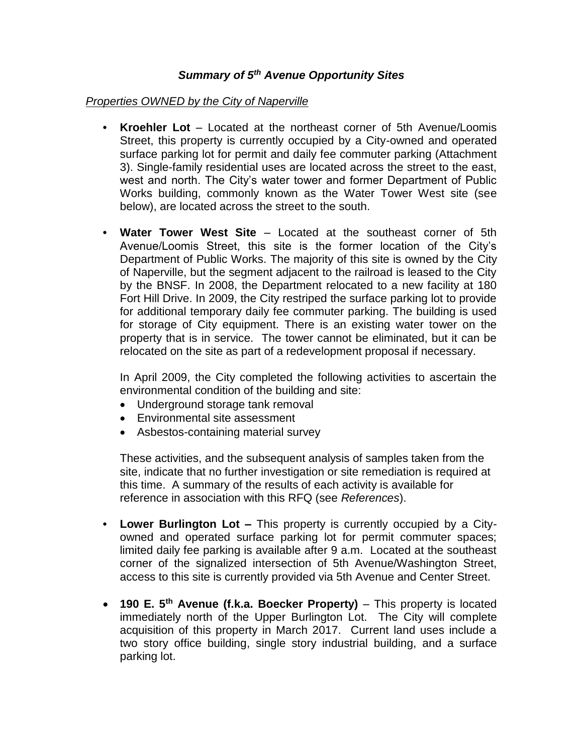## *Summary of 5th Avenue Opportunity Sites*

## *Properties OWNED by the City of Naperville*

- **• Kroehler Lot** Located at the northeast corner of 5th Avenue/Loomis Street, this property is currently occupied by a City-owned and operated surface parking lot for permit and daily fee commuter parking (Attachment 3). Single-family residential uses are located across the street to the east, west and north. The City's water tower and former Department of Public Works building, commonly known as the Water Tower West site (see below), are located across the street to the south.
- **• Water Tower West Site**  Located at the southeast corner of 5th Avenue/Loomis Street, this site is the former location of the City's Department of Public Works. The majority of this site is owned by the City of Naperville, but the segment adjacent to the railroad is leased to the City by the BNSF. In 2008, the Department relocated to a new facility at 180 Fort Hill Drive. In 2009, the City restriped the surface parking lot to provide for additional temporary daily fee commuter parking. The building is used for storage of City equipment. There is an existing water tower on the property that is in service. The tower cannot be eliminated, but it can be relocated on the site as part of a redevelopment proposal if necessary.

In April 2009, the City completed the following activities to ascertain the environmental condition of the building and site:

- Underground storage tank removal
- Environmental site assessment
- Asbestos-containing material survey

These activities, and the subsequent analysis of samples taken from the site, indicate that no further investigation or site remediation is required at this time. A summary of the results of each activity is available for reference in association with this RFQ (see *References*).

- **• Lower Burlington Lot –** This property is currently occupied by a Cityowned and operated surface parking lot for permit commuter spaces; limited daily fee parking is available after 9 a.m. Located at the southeast corner of the signalized intersection of 5th Avenue/Washington Street, access to this site is currently provided via 5th Avenue and Center Street.
- **190 E. 5th Avenue (f.k.a. Boecker Property)** This property is located immediately north of the Upper Burlington Lot. The City will complete acquisition of this property in March 2017. Current land uses include a two story office building, single story industrial building, and a surface parking lot.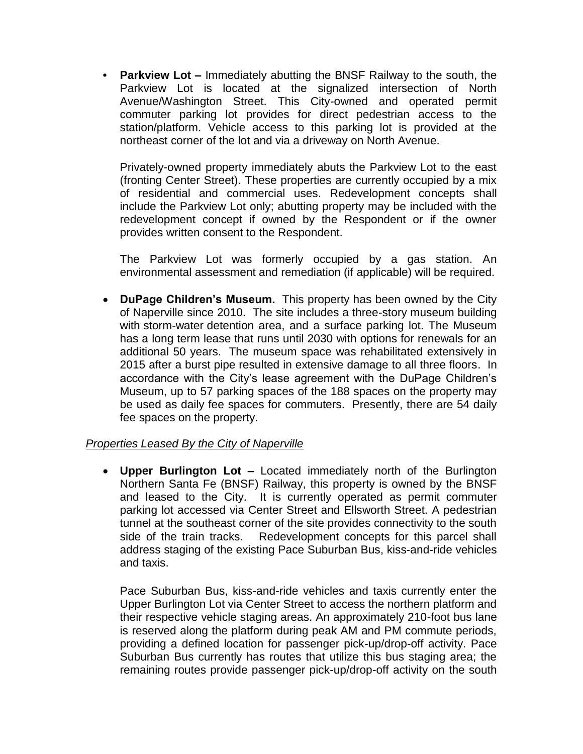**• Parkview Lot –** Immediately abutting the BNSF Railway to the south, the Parkview Lot is located at the signalized intersection of North Avenue/Washington Street. This City-owned and operated permit commuter parking lot provides for direct pedestrian access to the station/platform. Vehicle access to this parking lot is provided at the northeast corner of the lot and via a driveway on North Avenue.

Privately-owned property immediately abuts the Parkview Lot to the east (fronting Center Street). These properties are currently occupied by a mix of residential and commercial uses. Redevelopment concepts shall include the Parkview Lot only; abutting property may be included with the redevelopment concept if owned by the Respondent or if the owner provides written consent to the Respondent.

The Parkview Lot was formerly occupied by a gas station. An environmental assessment and remediation (if applicable) will be required.

 **DuPage Children's Museum.** This property has been owned by the City of Naperville since 2010. The site includes a three-story museum building with storm-water detention area, and a surface parking lot. The Museum has a long term lease that runs until 2030 with options for renewals for an additional 50 years. The museum space was rehabilitated extensively in 2015 after a burst pipe resulted in extensive damage to all three floors. In accordance with the City's lease agreement with the DuPage Children's Museum, up to 57 parking spaces of the 188 spaces on the property may be used as daily fee spaces for commuters. Presently, there are 54 daily fee spaces on the property.

## *Properties Leased By the City of Naperville*

 **Upper Burlington Lot –** Located immediately north of the Burlington Northern Santa Fe (BNSF) Railway, this property is owned by the BNSF and leased to the City. It is currently operated as permit commuter parking lot accessed via Center Street and Ellsworth Street. A pedestrian tunnel at the southeast corner of the site provides connectivity to the south side of the train tracks. Redevelopment concepts for this parcel shall address staging of the existing Pace Suburban Bus, kiss-and-ride vehicles and taxis.

Pace Suburban Bus, kiss-and-ride vehicles and taxis currently enter the Upper Burlington Lot via Center Street to access the northern platform and their respective vehicle staging areas. An approximately 210-foot bus lane is reserved along the platform during peak AM and PM commute periods, providing a defined location for passenger pick-up/drop-off activity. Pace Suburban Bus currently has routes that utilize this bus staging area; the remaining routes provide passenger pick-up/drop-off activity on the south